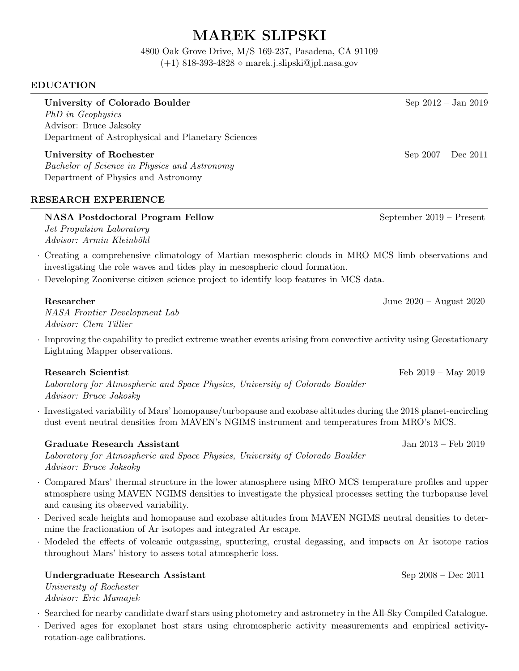# MAREK SLIPSKI

4800 Oak Grove Drive, M/S 169-237, Pasadena, CA 91109  $(+1)$  818-393-4828  $\diamond$  marek.j.slipski@jpl.nasa.gov

## EDUCATION

University of Colorado Boulder Sep 2012 – Jan 2019

PhD in Geophysics Advisor: Bruce Jaksoky Department of Astrophysical and Planetary Sciences

University of Rochester Sep 2007 – Dec 2011 Bachelor of Science in Physics and Astronomy Department of Physics and Astronomy

## RESEARCH EXPERIENCE

## NASA Postdoctoral Program Fellow September 2019 – Present

Jet Propulsion Laboratory Advisor: Armin Kleinböhl

- · Creating a comprehensive climatology of Martian mesospheric clouds in MRO MCS limb observations and investigating the role waves and tides play in mesospheric cloud formation.
- · Developing Zooniverse citizen science project to identify loop features in MCS data.

## Researcher June 2020 – August 2020

NASA Frontier Development Lab Advisor: Clem Tillier

· Improving the capability to predict extreme weather events arising from convective activity using Geostationary Lightning Mapper observations.

## Research Scientist Feb 2019 – May 2019

Laboratory for Atmospheric and Space Physics, University of Colorado Boulder Advisor: Bruce Jakosky

· Investigated variability of Mars' homopause/turbopause and exobase altitudes during the 2018 planet-encircling dust event neutral densities from MAVEN's NGIMS instrument and temperatures from MRO's MCS.

## Graduate Research Assistant Jan 2013 – Feb 2019

Laboratory for Atmospheric and Space Physics, University of Colorado Boulder Advisor: Bruce Jaksoky

- · Compared Mars' thermal structure in the lower atmosphere using MRO MCS temperature profiles and upper atmosphere using MAVEN NGIMS densities to investigate the physical processes setting the turbopause level and causing its observed variability.
- · Derived scale heights and homopause and exobase altitudes from MAVEN NGIMS neutral densities to determine the fractionation of Ar isotopes and integrated Ar escape.
- · Modeled the effects of volcanic outgassing, sputtering, crustal degassing, and impacts on Ar isotope ratios throughout Mars' history to assess total atmospheric loss.

## Undergraduate Research Assistant Sep 2008 – Dec 2011

University of Rochester Advisor: Eric Mamajek

- · Searched for nearby candidate dwarf stars using photometry and astrometry in the All-Sky Compiled Catalogue.
- · Derived ages for exoplanet host stars using chromospheric activity measurements and empirical activityrotation-age calibrations.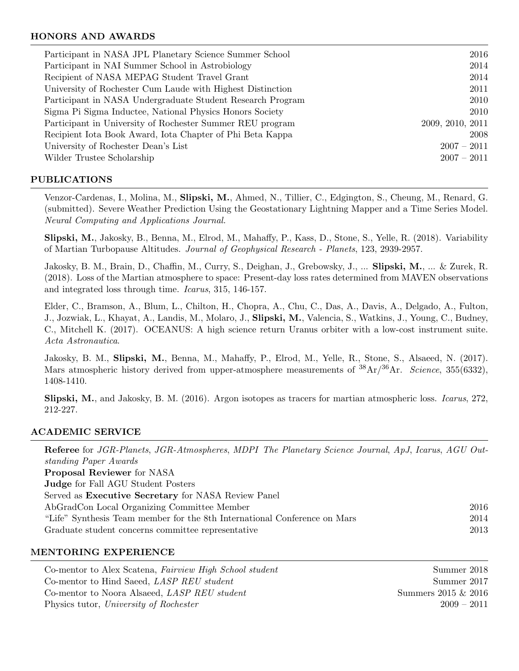## HONORS AND AWARDS

| Participant in NASA JPL Planetary Science Summer School    | 2016             |
|------------------------------------------------------------|------------------|
| Participant in NAI Summer School in Astrobiology           | 2014             |
| Recipient of NASA MEPAG Student Travel Grant               | 2014             |
| University of Rochester Cum Laude with Highest Distinction | 2011             |
| Participant in NASA Undergraduate Student Research Program | 2010             |
| Sigma Pi Sigma Inductee, National Physics Honors Society   | 2010             |
| Participant in University of Rochester Summer REU program  | 2009, 2010, 2011 |
| Recipient Iota Book Award, Iota Chapter of Phi Beta Kappa  | 2008             |
| University of Rochester Dean's List                        | $2007 - 2011$    |
| Wilder Trustee Scholarship                                 | $2007 - 2011$    |
|                                                            |                  |

## PUBLICATIONS

Venzor-Cardenas, I., Molina, M., Slipski, M., Ahmed, N., Tillier, C., Edgington, S., Cheung, M., Renard, G. (submitted). Severe Weather Prediction Using the Geostationary Lightning Mapper and a Time Series Model. Neural Computing and Applications Journal.

Slipski, M., Jakosky, B., Benna, M., Elrod, M., Mahaffy, P., Kass, D., Stone, S., Yelle, R. (2018). Variability of Martian Turbopause Altitudes. Journal of Geophysical Research - Planets, 123, 2939-2957.

Jakosky, B. M., Brain, D., Chaffin, M., Curry, S., Deighan, J., Grebowsky, J., ... Slipski, M., ... & Zurek, R. (2018). Loss of the Martian atmosphere to space: Present-day loss rates determined from MAVEN observations and integrated loss through time. Icarus, 315, 146-157.

Elder, C., Bramson, A., Blum, L., Chilton, H., Chopra, A., Chu, C., Das, A., Davis, A., Delgado, A., Fulton, J., Jozwiak, L., Khayat, A., Landis, M., Molaro, J., Slipski, M., Valencia, S., Watkins, J., Young, C., Budney, C., Mitchell K. (2017). OCEANUS: A high science return Uranus orbiter with a low-cost instrument suite. Acta Astronautica.

Jakosky, B. M., Slipski, M., Benna, M., Mahaffy, P., Elrod, M., Yelle, R., Stone, S., Alsaeed, N. (2017). Mars atmospheric history derived from upper-atmosphere measurements of  ${}^{38}Ar/{}^{36}Ar$ . Science, 355(6332), 1408-1410.

Slipski, M., and Jakosky, B. M. (2016). Argon isotopes as tracers for martian atmospheric loss. Icarus, 272, 212-227.

## ACADEMIC SERVICE

Referee for JGR-Planets, JGR-Atmospheres, MDPI The Planetary Science Journal, ApJ, Icarus, AGU Outstanding Paper Awards Proposal Reviewer for NASA Judge for Fall AGU Student Posters Served as Executive Secretary for NASA Review Panel AbGradCon Local Organizing Committee Member 2016 "Life" Synthesis Team member for the 8th International Conference on Mars 2014 Graduate student concerns committee representative 2013

## MENTORING EXPERIENCE

| Co-mentor to Alex Scatena, Fairview High School student | Summer 2018            |
|---------------------------------------------------------|------------------------|
| Co-mentor to Hind Saeed, <i>LASP REU student</i>        | Summer 2017            |
| Co-mentor to Noora Alsaeed, <i>LASP REU student</i>     | Summers $2015 \& 2016$ |
| Physics tutor, University of Rochester                  | $2009 - 2011$          |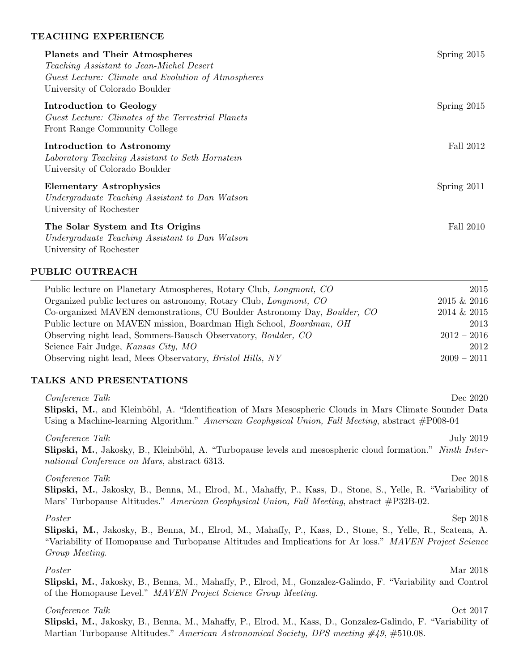## TEACHING EXPERIENCE

| <b>Planets and Their Atmospheres</b><br>Teaching Assistant to Jean-Michel Desert<br>Guest Lecture: Climate and Evolution of Atmospheres<br>University of Colorado Boulder | Spring 2015   |
|---------------------------------------------------------------------------------------------------------------------------------------------------------------------------|---------------|
| Introduction to Geology<br>Guest Lecture: Climates of the Terrestrial Planets<br>Front Range Community College                                                            | Spring $2015$ |
| Introduction to Astronomy<br>Laboratory Teaching Assistant to Seth Hornstein<br>University of Colorado Boulder                                                            | Fall 2012     |
| <b>Elementary Astrophysics</b><br>Undergraduate Teaching Assistant to Dan Watson<br>University of Rochester                                                               | Spring 2011   |
| The Solar System and Its Origins<br>Undergraduate Teaching Assistant to Dan Watson<br>University of Rochester                                                             | Fall 2010     |

## PUBLIC OUTREACH

| Public lecture on Planetary Atmospheres, Rotary Club, <i>Longmont</i> , CO | 2015          |
|----------------------------------------------------------------------------|---------------|
| Organized public lectures on astronomy, Rotary Club, <i>Longmont</i> , CO  | 2015 & 2016   |
| Co-organized MAVEN demonstrations, CU Boulder Astronomy Day, Boulder, CO   | 2014 & 2015   |
| Public lecture on MAVEN mission, Boardman High School, Boardman, OH        | 2013          |
| Observing night lead, Sommers-Bausch Observatory, <i>Boulder</i> , CO      | $2012 - 2016$ |
| Science Fair Judge, Kansas City, MO                                        | 2012          |
| Observing night lead, Mees Observatory, <i>Bristol Hills</i> , NY          | $2009 - 2011$ |

## TALKS AND PRESENTATIONS

| Conference Talk<br>Dec 2020<br>Slipski, M., and Kleinböhl, A. "Identification of Mars Mesospheric Clouds in Mars Climate Sounder Data<br>Using a Machine-learning Algorithm." American Geophysical Union, Fall Meeting, abstract $#P008-04$                 |
|-------------------------------------------------------------------------------------------------------------------------------------------------------------------------------------------------------------------------------------------------------------|
| Conference Talk<br>July 2019<br><b>Slipski, M.,</b> Jakosky, B., Kleinböhl, A. "Turbopause levels and mesospheric cloud formation." Ninth Inter-<br>national Conference on Mars, abstract 6313.                                                             |
| Conference Talk<br>Dec 2018<br>Slipski, M., Jakosky, B., Benna, M., Elrod, M., Mahaffy, P., Kass, D., Stone, S., Yelle, R. "Variability of<br>Mars' Turbopause Altitudes." American Geophysical Union, Fall Meeting, abstract #P32B-02.                     |
| Poster<br>Sep 2018<br>Slipski, M., Jakosky, B., Benna, M., Elrod, M., Mahaffy, P., Kass, D., Stone, S., Yelle, R., Scatena, A.<br>"Variability of Homopause and Turbopause Altitudes and Implications for Ar loss." MAVEN Project Science<br>Group Meeting. |
| Mar 2018<br>Poster<br>Slipski, M., Jakosky, B., Benna, M., Mahaffy, P., Elrod, M., Gonzalez-Galindo, F. "Variability and Control"<br>of the Homopause Level." MAVEN Project Science Group Meeting.                                                          |
| Conference Talk<br>Oct 2017                                                                                                                                                                                                                                 |

Slipski, M., Jakosky, B., Benna, M., Mahaffy, P., Elrod, M., Kass, D., Gonzalez-Galindo, F. "Variability of Martian Turbopause Altitudes." American Astronomical Society, DPS meeting #49, #510.08.